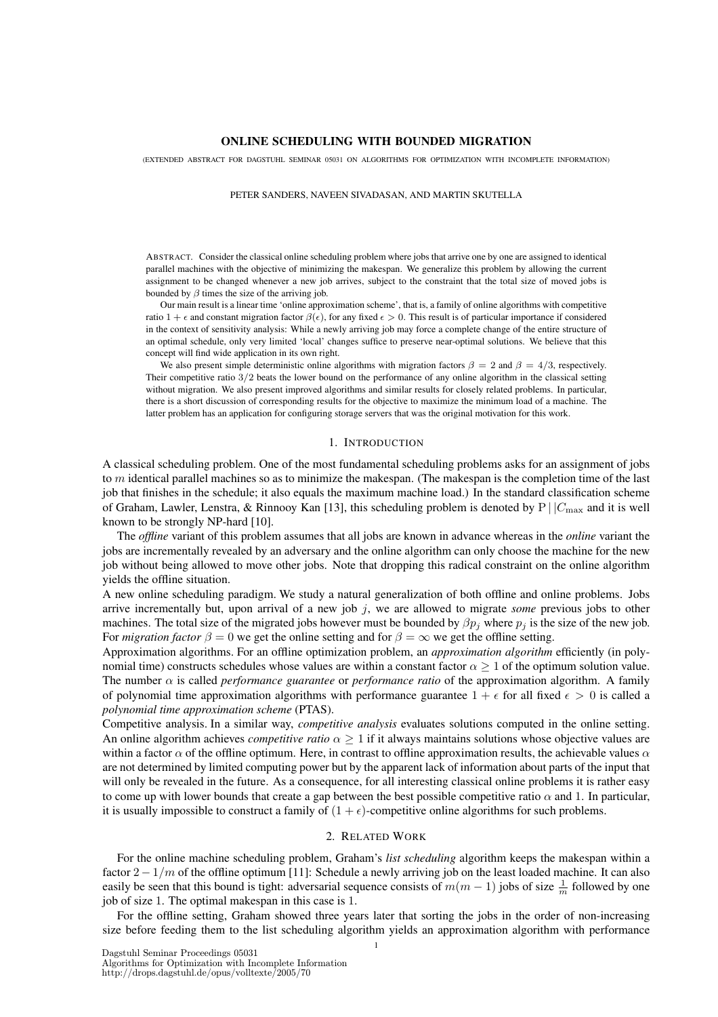## ONLINE SCHEDULING WITH BOUNDED MIGRATION

(EXTENDED ABSTRACT FOR DAGSTUHL SEMINAR 05031 ON ALGORITHMS FOR OPTIMIZATION WITH INCOMPLETE INFORMATION)

#### PETER SANDERS, NAVEEN SIVADASAN, AND MARTIN SKUTELLA

ABSTRACT. Consider the classical online scheduling problem where jobs that arrive one by one are assigned to identical parallel machines with the objective of minimizing the makespan. We generalize this problem by allowing the current assignment to be changed whenever a new job arrives, subject to the constraint that the total size of moved jobs is bounded by  $\beta$  times the size of the arriving job.

Our main result is a linear time 'online approximation scheme', that is, a family of online algorithms with competitive ratio 1 +  $\epsilon$  and constant migration factor  $\beta(\epsilon)$ , for any fixed  $\epsilon > 0$ . This result is of particular importance if considered in the context of sensitivity analysis: While a newly arriving job may force a complete change of the entire structure of an optimal schedule, only very limited 'local' changes suffice to preserve near-optimal solutions. We believe that this concept will find wide application in its own right.

We also present simple deterministic online algorithms with migration factors  $\beta = 2$  and  $\beta = 4/3$ , respectively. Their competitive ratio 3/2 beats the lower bound on the performance of any online algorithm in the classical setting without migration. We also present improved algorithms and similar results for closely related problems. In particular, there is a short discussion of corresponding results for the objective to maximize the minimum load of a machine. The latter problem has an application for configuring storage servers that was the original motivation for this work.

### 1. INTRODUCTION

A classical scheduling problem. One of the most fundamental scheduling problems asks for an assignment of jobs to  $m$  identical parallel machines so as to minimize the makespan. (The makespan is the completion time of the last job that finishes in the schedule; it also equals the maximum machine load.) In the standard classification scheme of Graham, Lawler, Lenstra, & Rinnooy Kan [13], this scheduling problem is denoted by  $P \mid |C_{\text{max}}$  and it is well known to be strongly NP-hard [10].

The *offline* variant of this problem assumes that all jobs are known in advance whereas in the *online* variant the jobs are incrementally revealed by an adversary and the online algorithm can only choose the machine for the new job without being allowed to move other jobs. Note that dropping this radical constraint on the online algorithm yields the offline situation.

A new online scheduling paradigm. We study a natural generalization of both offline and online problems. Jobs arrive incrementally but, upon arrival of a new job j, we are allowed to migrate *some* previous jobs to other machines. The total size of the migrated jobs however must be bounded by  $\beta p_i$  where  $p_i$  is the size of the new job. For *migration factor*  $\beta = 0$  we get the online setting and for  $\beta = \infty$  we get the offline setting.

Approximation algorithms. For an offline optimization problem, an *approximation algorithm* efficiently (in polynomial time) constructs schedules whose values are within a constant factor  $\alpha \geq 1$  of the optimum solution value. The number  $\alpha$  is called *performance guarantee* or *performance ratio* of the approximation algorithm. A family of polynomial time approximation algorithms with performance guarantee  $1 + \epsilon$  for all fixed  $\epsilon > 0$  is called a *polynomial time approximation scheme* (PTAS).

Competitive analysis. In a similar way, *competitive analysis* evaluates solutions computed in the online setting. An online algorithm achieves *competitive ratio* α ≥ 1 if it always maintains solutions whose objective values are within a factor  $\alpha$  of the offline optimum. Here, in contrast to offline approximation results, the achievable values  $\alpha$ are not determined by limited computing power but by the apparent lack of information about parts of the input that will only be revealed in the future. As a consequence, for all interesting classical online problems it is rather easy to come up with lower bounds that create a gap between the best possible competitive ratio  $\alpha$  and 1. In particular, it is usually impossible to construct a family of  $(1 + \epsilon)$ -competitive online algorithms for such problems.

## 2. RELATED WORK

For the online machine scheduling problem, Graham's *list scheduling* algorithm keeps the makespan within a factor  $2 - 1/m$  of the offline optimum [11]: Schedule a newly arriving job on the least loaded machine. It can also easily be seen that this bound is tight: adversarial sequence consists of  $m(m-1)$  jobs of size  $\frac{1}{m}$  followed by one job of size 1. The optimal makespan in this case is 1.

For the offline setting, Graham showed three years later that sorting the jobs in the order of non-increasing size before feeding them to the list scheduling algorithm yields an approximation algorithm with performance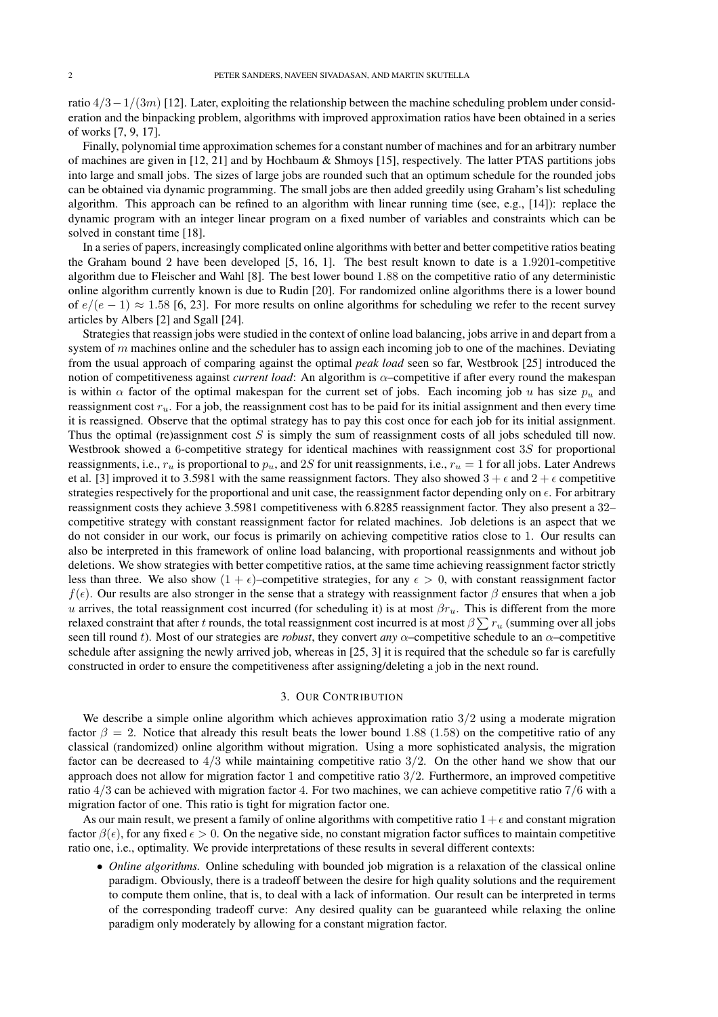ratio  $4/3-1/(3m)$  [12]. Later, exploiting the relationship between the machine scheduling problem under consideration and the binpacking problem, algorithms with improved approximation ratios have been obtained in a series of works [7, 9, 17].

Finally, polynomial time approximation schemes for a constant number of machines and for an arbitrary number of machines are given in [12, 21] and by Hochbaum & Shmoys [15], respectively. The latter PTAS partitions jobs into large and small jobs. The sizes of large jobs are rounded such that an optimum schedule for the rounded jobs can be obtained via dynamic programming. The small jobs are then added greedily using Graham's list scheduling algorithm. This approach can be refined to an algorithm with linear running time (see, e.g., [14]): replace the dynamic program with an integer linear program on a fixed number of variables and constraints which can be solved in constant time [18].

In a series of papers, increasingly complicated online algorithms with better and better competitive ratios beating the Graham bound 2 have been developed [5, 16, 1]. The best result known to date is a 1.9201-competitive algorithm due to Fleischer and Wahl [8]. The best lower bound 1.88 on the competitive ratio of any deterministic online algorithm currently known is due to Rudin [20]. For randomized online algorithms there is a lower bound of  $e/(e-1) \approx 1.58$  [6, 23]. For more results on online algorithms for scheduling we refer to the recent survey articles by Albers [2] and Sgall [24].

Strategies that reassign jobs were studied in the context of online load balancing, jobs arrive in and depart from a system of  $m$  machines online and the scheduler has to assign each incoming job to one of the machines. Deviating from the usual approach of comparing against the optimal *peak load* seen so far, Westbrook [25] introduced the notion of competitiveness against *current load*: An algorithm is  $\alpha$ –competitive if after every round the makespan is within  $\alpha$  factor of the optimal makespan for the current set of jobs. Each incoming job u has size  $p_u$  and reassignment cost  $r_u$ . For a job, the reassignment cost has to be paid for its initial assignment and then every time it is reassigned. Observe that the optimal strategy has to pay this cost once for each job for its initial assignment. Thus the optimal (re)assignment cost  $S$  is simply the sum of reassignment costs of all jobs scheduled till now. Westbrook showed a 6-competitive strategy for identical machines with reassignment cost 3S for proportional reassignments, i.e.,  $r_u$  is proportional to  $p_u$ , and 2S for unit reassignments, i.e.,  $r_u = 1$  for all jobs. Later Andrews et al. [3] improved it to 3.5981 with the same reassignment factors. They also showed  $3 + \epsilon$  and  $2 + \epsilon$  competitive strategies respectively for the proportional and unit case, the reassignment factor depending only on  $\epsilon$ . For arbitrary reassignment costs they achieve 3.5981 competitiveness with 6.8285 reassignment factor. They also present a 32– competitive strategy with constant reassignment factor for related machines. Job deletions is an aspect that we do not consider in our work, our focus is primarily on achieving competitive ratios close to 1. Our results can also be interpreted in this framework of online load balancing, with proportional reassignments and without job deletions. We show strategies with better competitive ratios, at the same time achieving reassignment factor strictly less than three. We also show  $(1 + \epsilon)$ –competitive strategies, for any  $\epsilon > 0$ , with constant reassignment factor f( $\epsilon$ ). Our results are also stronger in the sense that a strategy with reassignment factor  $\beta$  ensures that when a job u arrives, the total reassignment cost incurred (for scheduling it) is at most  $\beta r_u$ . This is different from the more relaxed constraint that after  $t$  rounds, the total reassignment cost incurred is at most  $\beta\sum r_u$  (summing over all jobs seen till round t). Most of our strategies are *robust*, they convert *any*  $\alpha$ –competitive schedule to an  $\alpha$ –competitive schedule after assigning the newly arrived job, whereas in [25, 3] it is required that the schedule so far is carefully constructed in order to ensure the competitiveness after assigning/deleting a job in the next round.

# 3. OUR CONTRIBUTION

We describe a simple online algorithm which achieves approximation ratio  $3/2$  using a moderate migration factor  $\beta = 2$ . Notice that already this result beats the lower bound 1.88 (1.58) on the competitive ratio of any classical (randomized) online algorithm without migration. Using a more sophisticated analysis, the migration factor can be decreased to  $4/3$  while maintaining competitive ratio  $3/2$ . On the other hand we show that our approach does not allow for migration factor 1 and competitive ratio 3/2. Furthermore, an improved competitive ratio 4/3 can be achieved with migration factor 4. For two machines, we can achieve competitive ratio 7/6 with a migration factor of one. This ratio is tight for migration factor one.

As our main result, we present a family of online algorithms with competitive ratio  $1+\epsilon$  and constant migration factor  $\beta(\epsilon)$ , for any fixed  $\epsilon > 0$ . On the negative side, no constant migration factor suffices to maintain competitive ratio one, i.e., optimality. We provide interpretations of these results in several different contexts:

• *Online algorithms*. Online scheduling with bounded job migration is a relaxation of the classical online paradigm. Obviously, there is a tradeoff between the desire for high quality solutions and the requirement to compute them online, that is, to deal with a lack of information. Our result can be interpreted in terms of the corresponding tradeoff curve: Any desired quality can be guaranteed while relaxing the online paradigm only moderately by allowing for a constant migration factor.